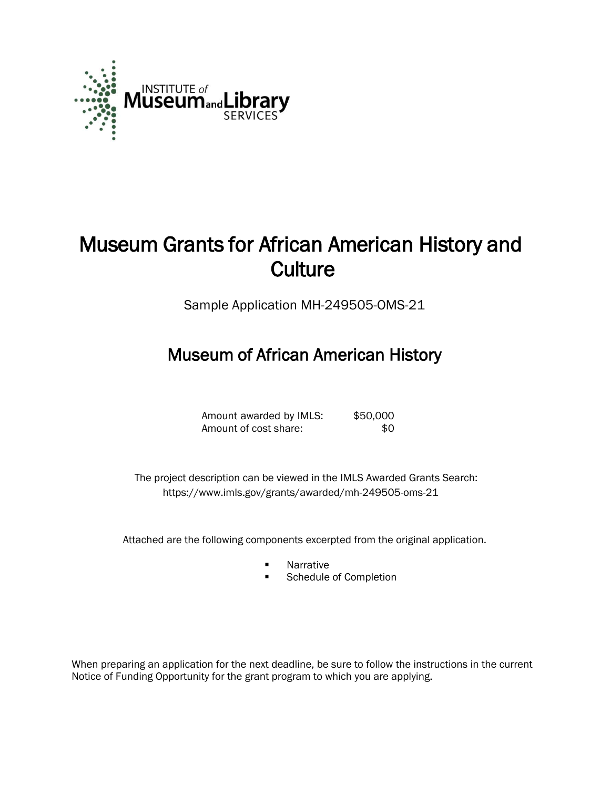

# Museum Grants for African American History and **Culture**

Sample Application MH-249505-OMS-21

## Museum of African American History

| Amount awarded by IMLS: | \$50,000 |
|-------------------------|----------|
| Amount of cost share:   | -SO.     |

 The project description can be viewed in the IMLS Awarded Grants Search: <https://www.imls.gov/grants/awarded/mh-249505-oms-21>

Attached are the following components excerpted from the original application.

- Narrative
- Schedule of Completion

When preparing an application for the next deadline, be sure to follow the instructions in the current Notice of Funding Opportunity for the grant program to which you are applying.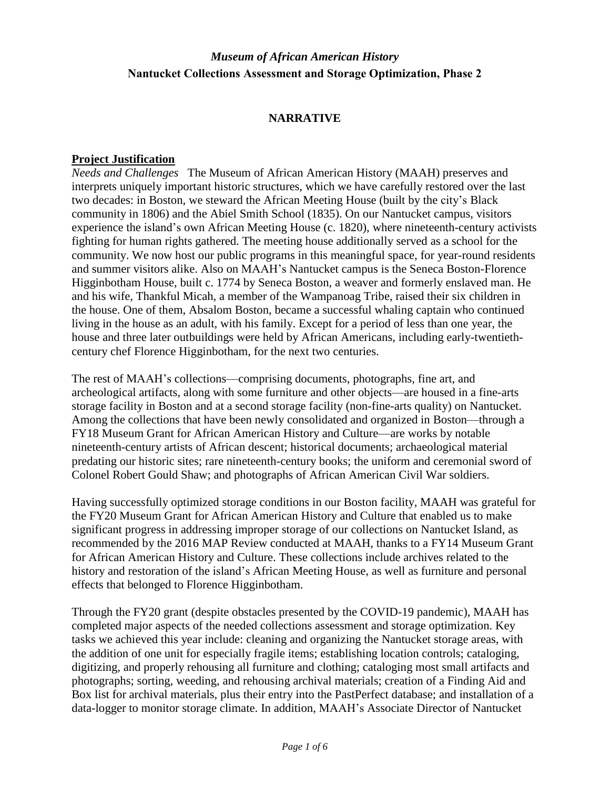#### **NARRATIVE**

#### **Project Justification**

*Needs and Challenges* The Museum of African American History (MAAH) preserves and interprets uniquely important historic structures, which we have carefully restored over the last two decades: in Boston, we steward the African Meeting House (built by the city's Black community in 1806) and the Abiel Smith School (1835). On our Nantucket campus, visitors experience the island's own African Meeting House (c. 1820), where nineteenth-century activists fighting for human rights gathered. The meeting house additionally served as a school for the community. We now host our public programs in this meaningful space, for year-round residents and summer visitors alike. Also on MAAH's Nantucket campus is the Seneca Boston-Florence Higginbotham House, built c. 1774 by Seneca Boston, a weaver and formerly enslaved man. He and his wife, Thankful Micah, a member of the Wampanoag Tribe, raised their six children in the house. One of them, Absalom Boston, became a successful whaling captain who continued living in the house as an adult, with his family. Except for a period of less than one year, the house and three later outbuildings were held by African Americans, including early-twentiethcentury chef Florence Higginbotham, for the next two centuries.

The rest of MAAH's collections—comprising documents, photographs, fine art, and archeological artifacts, along with some furniture and other objects—are housed in a fine-arts storage facility in Boston and at a second storage facility (non-fine-arts quality) on Nantucket. Among the collections that have been newly consolidated and organized in Boston—through a FY18 Museum Grant for African American History and Culture—are works by notable nineteenth-century artists of African descent; historical documents; archaeological material predating our historic sites; rare nineteenth-century books; the uniform and ceremonial sword of Colonel Robert Gould Shaw; and photographs of African American Civil War soldiers.

Having successfully optimized storage conditions in our Boston facility, MAAH was grateful for the FY20 Museum Grant for African American History and Culture that enabled us to make significant progress in addressing improper storage of our collections on Nantucket Island, as recommended by the 2016 MAP Review conducted at MAAH, thanks to a FY14 Museum Grant for African American History and Culture. These collections include archives related to the history and restoration of the island's African Meeting House, as well as furniture and personal effects that belonged to Florence Higginbotham.

Through the FY20 grant (despite obstacles presented by the COVID-19 pandemic), MAAH has completed major aspects of the needed collections assessment and storage optimization. Key tasks we achieved this year include: cleaning and organizing the Nantucket storage areas, with the addition of one unit for especially fragile items; establishing location controls; cataloging, digitizing, and properly rehousing all furniture and clothing; cataloging most small artifacts and photographs; sorting, weeding, and rehousing archival materials; creation of a Finding Aid and Box list for archival materials, plus their entry into the PastPerfect database; and installation of a data-logger to monitor storage climate. In addition, MAAH's Associate Director of Nantucket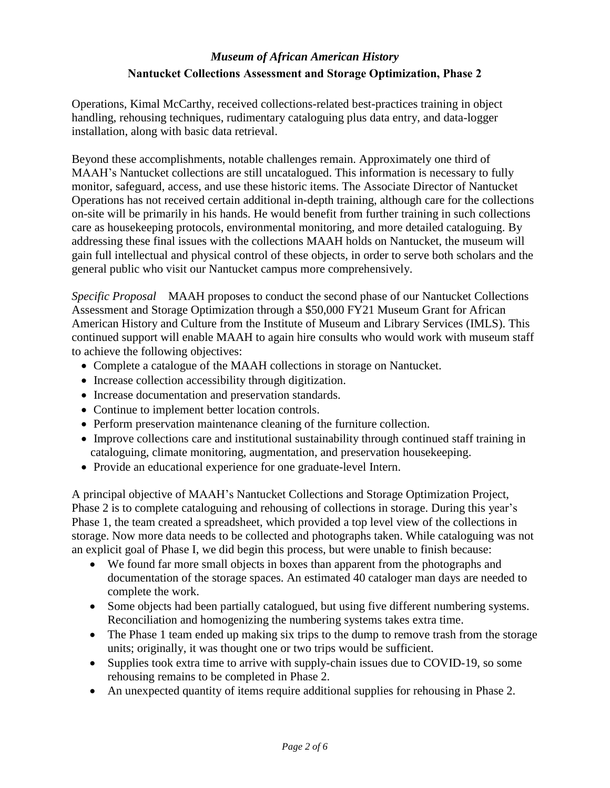Operations, Kimal McCarthy, received collections-related best-practices training in object handling, rehousing techniques, rudimentary cataloguing plus data entry, and data-logger installation, along with basic data retrieval.

Beyond these accomplishments, notable challenges remain. Approximately one third of MAAH's Nantucket collections are still uncatalogued. This information is necessary to fully monitor, safeguard, access, and use these historic items. The Associate Director of Nantucket Operations has not received certain additional in-depth training, although care for the collections on-site will be primarily in his hands. He would benefit from further training in such collections care as housekeeping protocols, environmental monitoring, and more detailed cataloguing. By addressing these final issues with the collections MAAH holds on Nantucket, the museum will gain full intellectual and physical control of these objects, in order to serve both scholars and the general public who visit our Nantucket campus more comprehensively.

*Specific Proposal* MAAH proposes to conduct the second phase of our Nantucket Collections Assessment and Storage Optimization through a \$50,000 FY21 Museum Grant for African American History and Culture from the Institute of Museum and Library Services (IMLS). This continued support will enable MAAH to again hire consults who would work with museum staff to achieve the following objectives:

- Complete a catalogue of the MAAH collections in storage on Nantucket.
- Increase collection accessibility through digitization.
- Increase documentation and preservation standards.
- Continue to implement better location controls.
- Perform preservation maintenance cleaning of the furniture collection.
- Improve collections care and institutional sustainability through continued staff training in cataloguing, climate monitoring, augmentation, and preservation housekeeping.
- Provide an educational experience for one graduate-level Intern.

A principal objective of MAAH's Nantucket Collections and Storage Optimization Project, Phase 2 is to complete cataloguing and rehousing of collections in storage. During this year's Phase 1, the team created a spreadsheet, which provided a top level view of the collections in storage. Now more data needs to be collected and photographs taken. While cataloguing was not an explicit goal of Phase I, we did begin this process, but were unable to finish because:

- We found far more small objects in boxes than apparent from the photographs and documentation of the storage spaces. An estimated 40 cataloger man days are needed to complete the work.
- Some objects had been partially catalogued, but using five different numbering systems. Reconciliation and homogenizing the numbering systems takes extra time.
- The Phase 1 team ended up making six trips to the dump to remove trash from the storage units; originally, it was thought one or two trips would be sufficient.
- Supplies took extra time to arrive with supply-chain issues due to COVID-19, so some rehousing remains to be completed in Phase 2.
- An unexpected quantity of items require additional supplies for rehousing in Phase 2.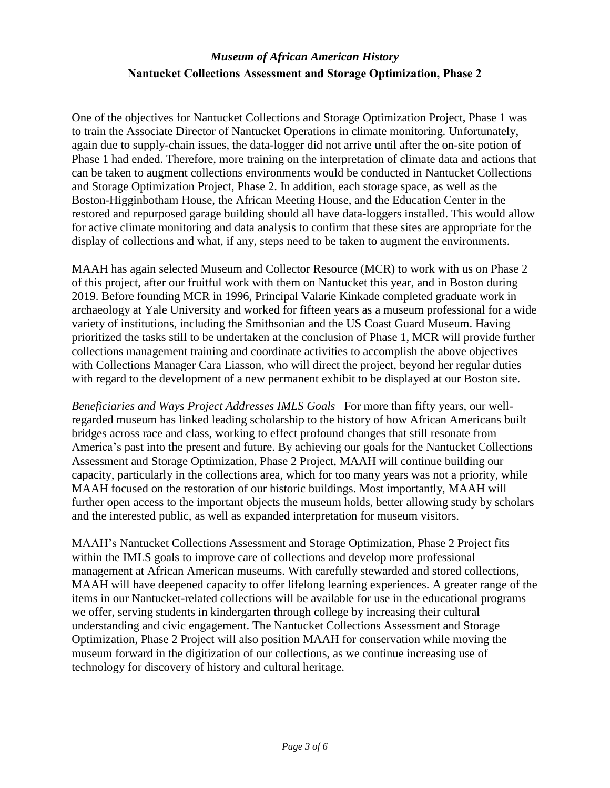One of the objectives for Nantucket Collections and Storage Optimization Project, Phase 1 was to train the Associate Director of Nantucket Operations in climate monitoring. Unfortunately, again due to supply-chain issues, the data-logger did not arrive until after the on-site potion of Phase 1 had ended. Therefore, more training on the interpretation of climate data and actions that can be taken to augment collections environments would be conducted in Nantucket Collections and Storage Optimization Project, Phase 2. In addition, each storage space, as well as the Boston-Higginbotham House, the African Meeting House, and the Education Center in the restored and repurposed garage building should all have data-loggers installed. This would allow for active climate monitoring and data analysis to confirm that these sites are appropriate for the display of collections and what, if any, steps need to be taken to augment the environments.

MAAH has again selected Museum and Collector Resource (MCR) to work with us on Phase 2 of this project, after our fruitful work with them on Nantucket this year, and in Boston during 2019. Before founding MCR in 1996, Principal Valarie Kinkade completed graduate work in archaeology at Yale University and worked for fifteen years as a museum professional for a wide variety of institutions, including the Smithsonian and the US Coast Guard Museum. Having prioritized the tasks still to be undertaken at the conclusion of Phase 1, MCR will provide further collections management training and coordinate activities to accomplish the above objectives with Collections Manager Cara Liasson, who will direct the project, beyond her regular duties with regard to the development of a new permanent exhibit to be displayed at our Boston site.

*Beneficiaries and Ways Project Addresses IMLS Goals* For more than fifty years, our wellregarded museum has linked leading scholarship to the history of how African Americans built bridges across race and class, working to effect profound changes that still resonate from America's past into the present and future. By achieving our goals for the Nantucket Collections Assessment and Storage Optimization, Phase 2 Project, MAAH will continue building our capacity, particularly in the collections area, which for too many years was not a priority, while MAAH focused on the restoration of our historic buildings. Most importantly, MAAH will further open access to the important objects the museum holds, better allowing study by scholars and the interested public, as well as expanded interpretation for museum visitors.

MAAH's Nantucket Collections Assessment and Storage Optimization, Phase 2 Project fits within the IMLS goals to improve care of collections and develop more professional management at African American museums. With carefully stewarded and stored collections, MAAH will have deepened capacity to offer lifelong learning experiences. A greater range of the items in our Nantucket-related collections will be available for use in the educational programs we offer, serving students in kindergarten through college by increasing their cultural understanding and civic engagement. The Nantucket Collections Assessment and Storage Optimization, Phase 2 Project will also position MAAH for conservation while moving the museum forward in the digitization of our collections, as we continue increasing use of technology for discovery of history and cultural heritage.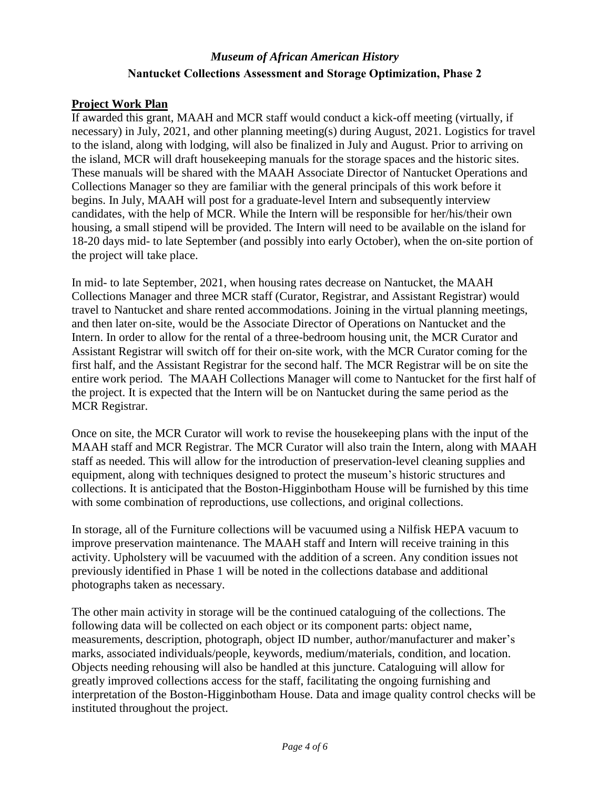#### **Project Work Plan**

If awarded this grant, MAAH and MCR staff would conduct a kick-off meeting (virtually, if necessary) in July, 2021, and other planning meeting(s) during August, 2021. Logistics for travel to the island, along with lodging, will also be finalized in July and August. Prior to arriving on the island, MCR will draft housekeeping manuals for the storage spaces and the historic sites. These manuals will be shared with the MAAH Associate Director of Nantucket Operations and Collections Manager so they are familiar with the general principals of this work before it begins. In July, MAAH will post for a graduate-level Intern and subsequently interview candidates, with the help of MCR. While the Intern will be responsible for her/his/their own housing, a small stipend will be provided. The Intern will need to be available on the island for 18-20 days mid- to late September (and possibly into early October), when the on-site portion of the project will take place.

In mid- to late September, 2021, when housing rates decrease on Nantucket, the MAAH Collections Manager and three MCR staff (Curator, Registrar, and Assistant Registrar) would travel to Nantucket and share rented accommodations. Joining in the virtual planning meetings, and then later on-site, would be the Associate Director of Operations on Nantucket and the Intern. In order to allow for the rental of a three-bedroom housing unit, the MCR Curator and Assistant Registrar will switch off for their on-site work, with the MCR Curator coming for the first half, and the Assistant Registrar for the second half. The MCR Registrar will be on site the entire work period. The MAAH Collections Manager will come to Nantucket for the first half of the project. It is expected that the Intern will be on Nantucket during the same period as the MCR Registrar.

Once on site, the MCR Curator will work to revise the housekeeping plans with the input of the MAAH staff and MCR Registrar. The MCR Curator will also train the Intern, along with MAAH staff as needed. This will allow for the introduction of preservation-level cleaning supplies and equipment, along with techniques designed to protect the museum's historic structures and collections. It is anticipated that the Boston-Higginbotham House will be furnished by this time with some combination of reproductions, use collections, and original collections.

In storage, all of the Furniture collections will be vacuumed using a Nilfisk HEPA vacuum to improve preservation maintenance. The MAAH staff and Intern will receive training in this activity. Upholstery will be vacuumed with the addition of a screen. Any condition issues not previously identified in Phase 1 will be noted in the collections database and additional photographs taken as necessary.

The other main activity in storage will be the continued cataloguing of the collections. The following data will be collected on each object or its component parts: object name, measurements, description, photograph, object ID number, author/manufacturer and maker's marks, associated individuals/people, keywords, medium/materials, condition, and location. Objects needing rehousing will also be handled at this juncture. Cataloguing will allow for greatly improved collections access for the staff, facilitating the ongoing furnishing and interpretation of the Boston-Higginbotham House. Data and image quality control checks will be instituted throughout the project.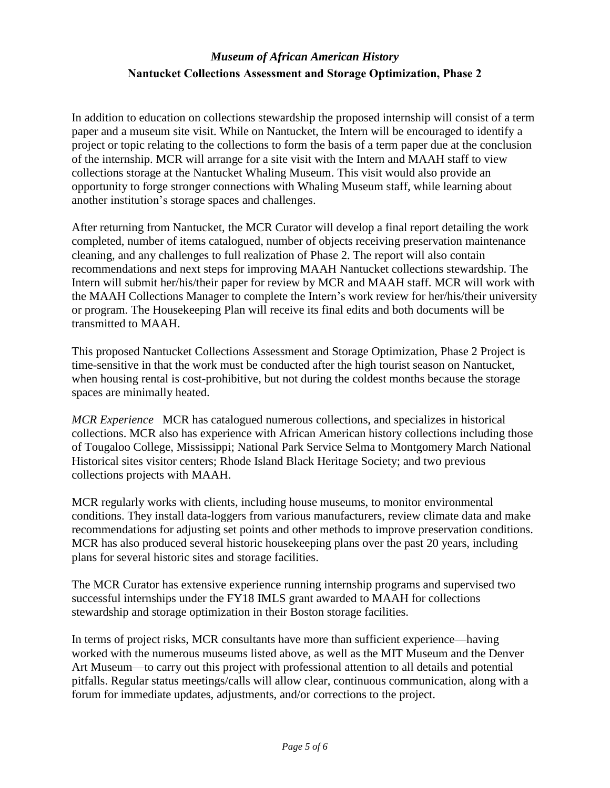In addition to education on collections stewardship the proposed internship will consist of a term paper and a museum site visit. While on Nantucket, the Intern will be encouraged to identify a project or topic relating to the collections to form the basis of a term paper due at the conclusion of the internship. MCR will arrange for a site visit with the Intern and MAAH staff to view collections storage at the Nantucket Whaling Museum. This visit would also provide an opportunity to forge stronger connections with Whaling Museum staff, while learning about another institution's storage spaces and challenges.

After returning from Nantucket, the MCR Curator will develop a final report detailing the work completed, number of items catalogued, number of objects receiving preservation maintenance cleaning, and any challenges to full realization of Phase 2. The report will also contain recommendations and next steps for improving MAAH Nantucket collections stewardship. The Intern will submit her/his/their paper for review by MCR and MAAH staff. MCR will work with the MAAH Collections Manager to complete the Intern's work review for her/his/their university or program. The Housekeeping Plan will receive its final edits and both documents will be transmitted to MAAH.

This proposed Nantucket Collections Assessment and Storage Optimization, Phase 2 Project is time-sensitive in that the work must be conducted after the high tourist season on Nantucket, when housing rental is cost-prohibitive, but not during the coldest months because the storage spaces are minimally heated.

*MCR Experience* MCR has catalogued numerous collections, and specializes in historical collections. MCR also has experience with African American history collections including those of Tougaloo College, Mississippi; National Park Service Selma to Montgomery March National Historical sites visitor centers; Rhode Island Black Heritage Society; and two previous collections projects with MAAH.

MCR regularly works with clients, including house museums, to monitor environmental conditions. They install data-loggers from various manufacturers, review climate data and make recommendations for adjusting set points and other methods to improve preservation conditions. MCR has also produced several historic housekeeping plans over the past 20 years, including plans for several historic sites and storage facilities.

The MCR Curator has extensive experience running internship programs and supervised two successful internships under the FY18 IMLS grant awarded to MAAH for collections stewardship and storage optimization in their Boston storage facilities.

In terms of project risks, MCR consultants have more than sufficient experience—having worked with the numerous museums listed above, as well as the MIT Museum and the Denver Art Museum—to carry out this project with professional attention to all details and potential pitfalls. Regular status meetings/calls will allow clear, continuous communication, along with a forum for immediate updates, adjustments, and/or corrections to the project.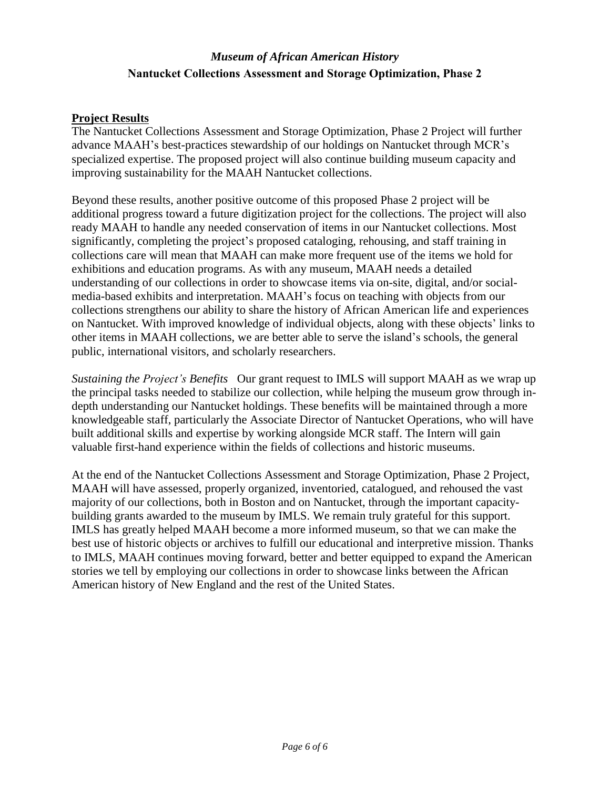#### **Project Results**

The Nantucket Collections Assessment and Storage Optimization, Phase 2 Project will further advance MAAH's best-practices stewardship of our holdings on Nantucket through MCR's specialized expertise. The proposed project will also continue building museum capacity and improving sustainability for the MAAH Nantucket collections.

Beyond these results, another positive outcome of this proposed Phase 2 project will be additional progress toward a future digitization project for the collections. The project will also ready MAAH to handle any needed conservation of items in our Nantucket collections. Most significantly, completing the project's proposed cataloging, rehousing, and staff training in collections care will mean that MAAH can make more frequent use of the items we hold for exhibitions and education programs. As with any museum, MAAH needs a detailed understanding of our collections in order to showcase items via on-site, digital, and/or socialmedia-based exhibits and interpretation. MAAH's focus on teaching with objects from our collections strengthens our ability to share the history of African American life and experiences on Nantucket. With improved knowledge of individual objects, along with these objects' links to other items in MAAH collections, we are better able to serve the island's schools, the general public, international visitors, and scholarly researchers.

*Sustaining the Project's Benefits* Our grant request to IMLS will support MAAH as we wrap up the principal tasks needed to stabilize our collection, while helping the museum grow through indepth understanding our Nantucket holdings. These benefits will be maintained through a more knowledgeable staff, particularly the Associate Director of Nantucket Operations, who will have built additional skills and expertise by working alongside MCR staff. The Intern will gain valuable first-hand experience within the fields of collections and historic museums.

At the end of the Nantucket Collections Assessment and Storage Optimization, Phase 2 Project, MAAH will have assessed, properly organized, inventoried, catalogued, and rehoused the vast majority of our collections, both in Boston and on Nantucket, through the important capacitybuilding grants awarded to the museum by IMLS. We remain truly grateful for this support. IMLS has greatly helped MAAH become a more informed museum, so that we can make the best use of historic objects or archives to fulfill our educational and interpretive mission. Thanks to IMLS, MAAH continues moving forward, better and better equipped to expand the American stories we tell by employing our collections in order to showcase links between the African American history of New England and the rest of the United States.